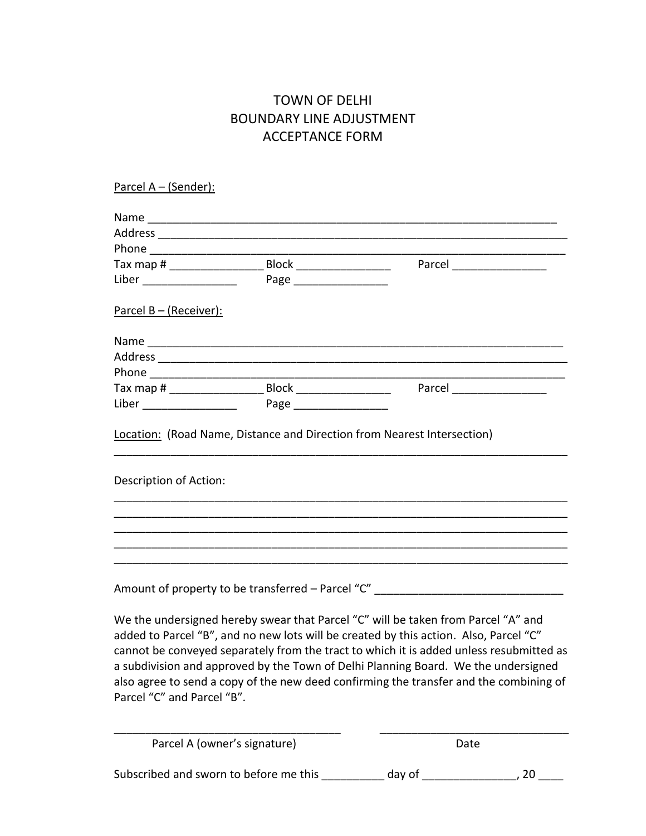## TOWN OF DELHI BOUNDARY LINE ADJUSTMENT ACCEPTANCE FORM

| Parcel A - (Sender):                   |                                                                                                                                                                                                                                                                                                                                                                                                                                                       |        |             |
|----------------------------------------|-------------------------------------------------------------------------------------------------------------------------------------------------------------------------------------------------------------------------------------------------------------------------------------------------------------------------------------------------------------------------------------------------------------------------------------------------------|--------|-------------|
|                                        |                                                                                                                                                                                                                                                                                                                                                                                                                                                       |        |             |
|                                        |                                                                                                                                                                                                                                                                                                                                                                                                                                                       |        |             |
|                                        |                                                                                                                                                                                                                                                                                                                                                                                                                                                       |        |             |
|                                        |                                                                                                                                                                                                                                                                                                                                                                                                                                                       |        | Parcel 2008 |
|                                        |                                                                                                                                                                                                                                                                                                                                                                                                                                                       |        |             |
| <u>Parcel B – (Receiver):</u>          |                                                                                                                                                                                                                                                                                                                                                                                                                                                       |        |             |
|                                        |                                                                                                                                                                                                                                                                                                                                                                                                                                                       |        |             |
|                                        |                                                                                                                                                                                                                                                                                                                                                                                                                                                       |        |             |
|                                        |                                                                                                                                                                                                                                                                                                                                                                                                                                                       |        |             |
|                                        |                                                                                                                                                                                                                                                                                                                                                                                                                                                       |        |             |
|                                        |                                                                                                                                                                                                                                                                                                                                                                                                                                                       |        |             |
|                                        | Location: (Road Name, Distance and Direction from Nearest Intersection)                                                                                                                                                                                                                                                                                                                                                                               |        |             |
| Description of Action:                 |                                                                                                                                                                                                                                                                                                                                                                                                                                                       |        |             |
|                                        | Amount of property to be transferred - Parcel "C" ______________________________                                                                                                                                                                                                                                                                                                                                                                      |        |             |
| Parcel "C" and Parcel "B".             | We the undersigned hereby swear that Parcel "C" will be taken from Parcel "A" and<br>added to Parcel "B", and no new lots will be created by this action. Also, Parcel "C"<br>cannot be conveyed separately from the tract to which it is added unless resubmitted as<br>a subdivision and approved by the Town of Delhi Planning Board. We the undersigned<br>also agree to send a copy of the new deed confirming the transfer and the combining of |        |             |
|                                        | Parcel A (owner's signature)                                                                                                                                                                                                                                                                                                                                                                                                                          | Date   |             |
| Subscribed and sworn to before me this |                                                                                                                                                                                                                                                                                                                                                                                                                                                       | day of | 20          |